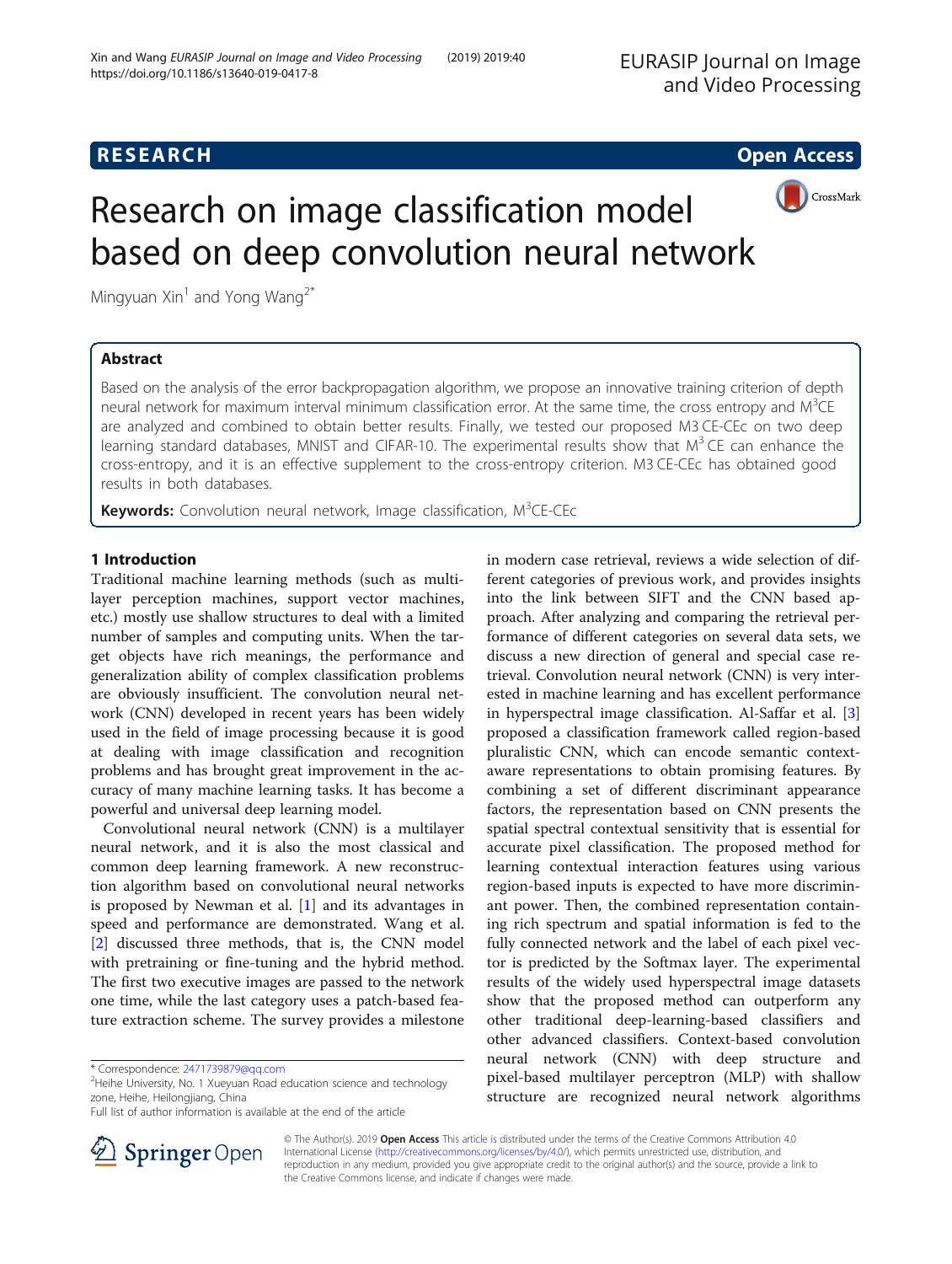# **RESEARCH CHE Open Access**



# Research on image classification model based on deep convolution neural network

Mingyuan  $Xin<sup>1</sup>$  and Yong Wang<sup>2\*</sup>

# Abstract

Based on the analysis of the error backpropagation algorithm, we propose an innovative training criterion of depth neural network for maximum interval minimum classification error. At the same time, the cross entropy and M<sup>3</sup>CE are analyzed and combined to obtain better results. Finally, we tested our proposed M3 CE-CEc on two deep learning standard databases, MNIST and CIFAR-10. The experimental results show that  $M<sup>3</sup>$ CE can enhance the cross-entropy, and it is an effective supplement to the cross-entropy criterion. M3 CE-CEc has obtained good results in both databases.

Keywords: Convolution neural network, Image classification, M<sup>3</sup>CE-CEc

# 1 Introduction

Traditional machine learning methods (such as multilayer perception machines, support vector machines, etc.) mostly use shallow structures to deal with a limited number of samples and computing units. When the target objects have rich meanings, the performance and generalization ability of complex classification problems are obviously insufficient. The convolution neural network (CNN) developed in recent years has been widely used in the field of image processing because it is good at dealing with image classification and recognition problems and has brought great improvement in the accuracy of many machine learning tasks. It has become a powerful and universal deep learning model.

Convolutional neural network (CNN) is a multilayer neural network, and it is also the most classical and common deep learning framework. A new reconstruction algorithm based on convolutional neural networks is proposed by Newman et al. [\[1\]](#page-9-0) and its advantages in speed and performance are demonstrated. Wang et al. [[2\]](#page-9-0) discussed three methods, that is, the CNN model with pretraining or fine-tuning and the hybrid method. The first two executive images are passed to the network one time, while the last category uses a patch-based feature extraction scheme. The survey provides a milestone

in modern case retrieval, reviews a wide selection of different categories of previous work, and provides insights into the link between SIFT and the CNN based approach. After analyzing and comparing the retrieval performance of different categories on several data sets, we discuss a new direction of general and special case retrieval. Convolution neural network (CNN) is very interested in machine learning and has excellent performance in hyperspectral image classification. Al-Saffar et al. [\[3](#page-9-0)] proposed a classification framework called region-based pluralistic CNN, which can encode semantic contextaware representations to obtain promising features. By combining a set of different discriminant appearance factors, the representation based on CNN presents the spatial spectral contextual sensitivity that is essential for accurate pixel classification. The proposed method for learning contextual interaction features using various region-based inputs is expected to have more discriminant power. Then, the combined representation containing rich spectrum and spatial information is fed to the fully connected network and the label of each pixel vector is predicted by the Softmax layer. The experimental results of the widely used hyperspectral image datasets show that the proposed method can outperform any other traditional deep-learning-based classifiers and other advanced classifiers. Context-based convolution neural network (CNN) with deep structure and pixel-based multilayer perceptron (MLP) with shallow structure are recognized neural network algorithms



© The Author(s). 2019 Open Access This article is distributed under the terms of the Creative Commons Attribution 4.0 International License ([http://creativecommons.org/licenses/by/4.0/\)](http://creativecommons.org/licenses/by/4.0/), which permits unrestricted use, distribution, and reproduction in any medium, provided you give appropriate credit to the original author(s) and the source, provide a link to the Creative Commons license, and indicate if changes were made.

<sup>\*</sup> Correspondence: [2471739879@qq.com](mailto:2471739879@qq.com) <sup>2</sup>

 $2$ Heihe University, No. 1 Xueyuan Road education science and technology zone, Heihe, Heilongjiang, China

Full list of author information is available at the end of the article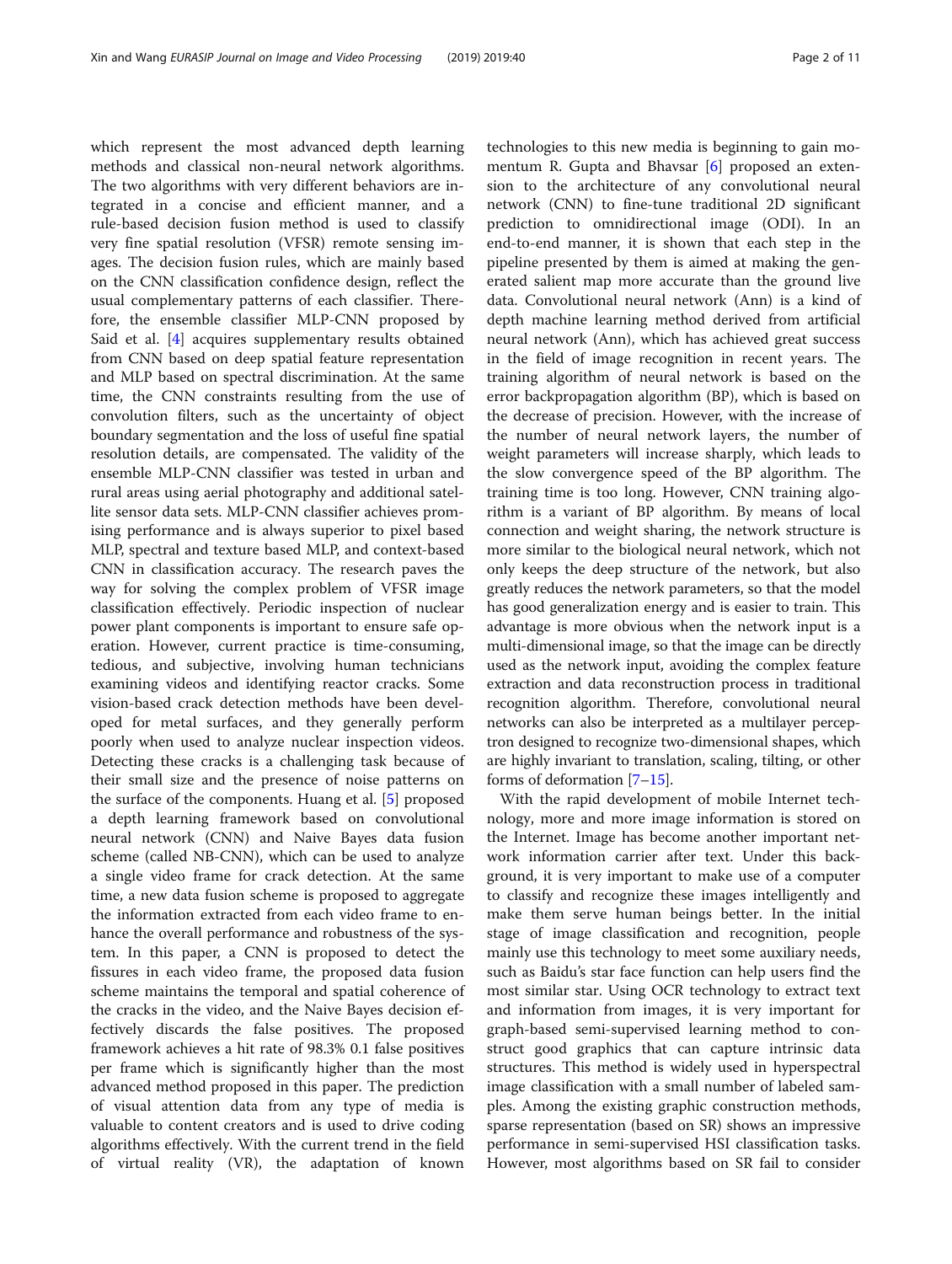which represent the most advanced depth learning methods and classical non-neural network algorithms. The two algorithms with very different behaviors are integrated in a concise and efficient manner, and a rule-based decision fusion method is used to classify very fine spatial resolution (VFSR) remote sensing images. The decision fusion rules, which are mainly based on the CNN classification confidence design, reflect the usual complementary patterns of each classifier. Therefore, the ensemble classifier MLP-CNN proposed by Said et al. [[4\]](#page-9-0) acquires supplementary results obtained from CNN based on deep spatial feature representation and MLP based on spectral discrimination. At the same time, the CNN constraints resulting from the use of convolution filters, such as the uncertainty of object boundary segmentation and the loss of useful fine spatial resolution details, are compensated. The validity of the ensemble MLP-CNN classifier was tested in urban and rural areas using aerial photography and additional satellite sensor data sets. MLP-CNN classifier achieves promising performance and is always superior to pixel based MLP, spectral and texture based MLP, and context-based CNN in classification accuracy. The research paves the way for solving the complex problem of VFSR image classification effectively. Periodic inspection of nuclear power plant components is important to ensure safe operation. However, current practice is time-consuming, tedious, and subjective, involving human technicians examining videos and identifying reactor cracks. Some vision-based crack detection methods have been developed for metal surfaces, and they generally perform poorly when used to analyze nuclear inspection videos. Detecting these cracks is a challenging task because of their small size and the presence of noise patterns on the surface of the components. Huang et al. [[5\]](#page-9-0) proposed a depth learning framework based on convolutional neural network (CNN) and Naive Bayes data fusion scheme (called NB-CNN), which can be used to analyze a single video frame for crack detection. At the same time, a new data fusion scheme is proposed to aggregate the information extracted from each video frame to enhance the overall performance and robustness of the system. In this paper, a CNN is proposed to detect the fissures in each video frame, the proposed data fusion scheme maintains the temporal and spatial coherence of the cracks in the video, and the Naive Bayes decision effectively discards the false positives. The proposed framework achieves a hit rate of 98.3% 0.1 false positives per frame which is significantly higher than the most advanced method proposed in this paper. The prediction of visual attention data from any type of media is valuable to content creators and is used to drive coding algorithms effectively. With the current trend in the field of virtual reality (VR), the adaptation of known

technologies to this new media is beginning to gain mo-mentum R. Gupta and Bhavsar [\[6](#page-9-0)] proposed an extension to the architecture of any convolutional neural network (CNN) to fine-tune traditional 2D significant prediction to omnidirectional image (ODI). In an end-to-end manner, it is shown that each step in the pipeline presented by them is aimed at making the generated salient map more accurate than the ground live data. Convolutional neural network (Ann) is a kind of depth machine learning method derived from artificial neural network (Ann), which has achieved great success in the field of image recognition in recent years. The training algorithm of neural network is based on the error backpropagation algorithm (BP), which is based on the decrease of precision. However, with the increase of the number of neural network layers, the number of weight parameters will increase sharply, which leads to the slow convergence speed of the BP algorithm. The training time is too long. However, CNN training algorithm is a variant of BP algorithm. By means of local connection and weight sharing, the network structure is more similar to the biological neural network, which not only keeps the deep structure of the network, but also greatly reduces the network parameters, so that the model has good generalization energy and is easier to train. This advantage is more obvious when the network input is a multi-dimensional image, so that the image can be directly used as the network input, avoiding the complex feature extraction and data reconstruction process in traditional recognition algorithm. Therefore, convolutional neural networks can also be interpreted as a multilayer perceptron designed to recognize two-dimensional shapes, which are highly invariant to translation, scaling, tilting, or other forms of deformation [[7](#page-9-0)–[15](#page-9-0)].

With the rapid development of mobile Internet technology, more and more image information is stored on the Internet. Image has become another important network information carrier after text. Under this background, it is very important to make use of a computer to classify and recognize these images intelligently and make them serve human beings better. In the initial stage of image classification and recognition, people mainly use this technology to meet some auxiliary needs, such as Baidu's star face function can help users find the most similar star. Using OCR technology to extract text and information from images, it is very important for graph-based semi-supervised learning method to construct good graphics that can capture intrinsic data structures. This method is widely used in hyperspectral image classification with a small number of labeled samples. Among the existing graphic construction methods, sparse representation (based on SR) shows an impressive performance in semi-supervised HSI classification tasks. However, most algorithms based on SR fail to consider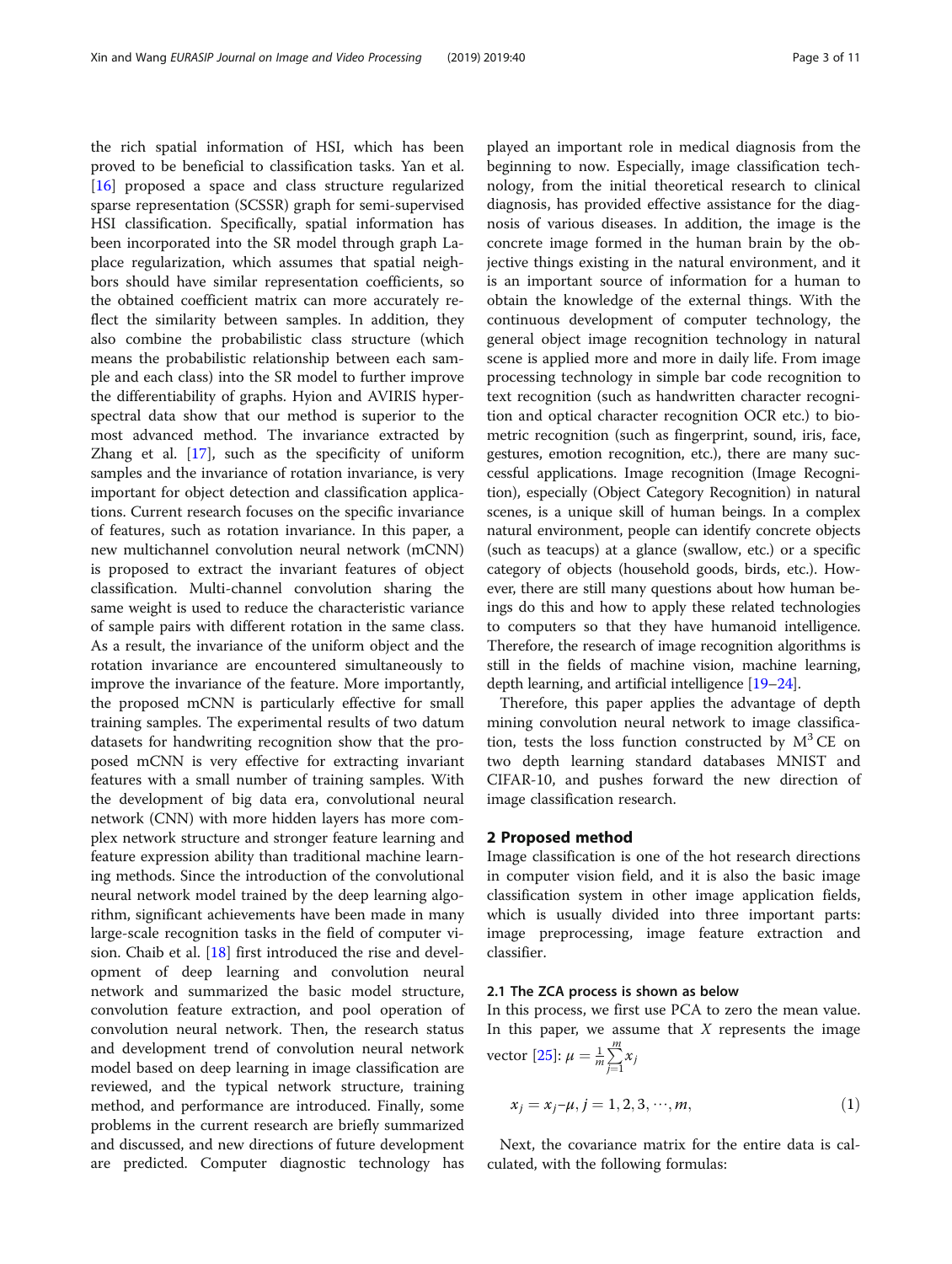the rich spatial information of HSI, which has been proved to be beneficial to classification tasks. Yan et al. [[16\]](#page-9-0) proposed a space and class structure regularized sparse representation (SCSSR) graph for semi-supervised HSI classification. Specifically, spatial information has been incorporated into the SR model through graph Laplace regularization, which assumes that spatial neighbors should have similar representation coefficients, so the obtained coefficient matrix can more accurately reflect the similarity between samples. In addition, they also combine the probabilistic class structure (which means the probabilistic relationship between each sample and each class) into the SR model to further improve the differentiability of graphs. Hyion and AVIRIS hyperspectral data show that our method is superior to the most advanced method. The invariance extracted by Zhang et al. [[17\]](#page-9-0), such as the specificity of uniform samples and the invariance of rotation invariance, is very important for object detection and classification applications. Current research focuses on the specific invariance of features, such as rotation invariance. In this paper, a new multichannel convolution neural network (mCNN) is proposed to extract the invariant features of object classification. Multi-channel convolution sharing the same weight is used to reduce the characteristic variance of sample pairs with different rotation in the same class. As a result, the invariance of the uniform object and the rotation invariance are encountered simultaneously to improve the invariance of the feature. More importantly, the proposed mCNN is particularly effective for small training samples. The experimental results of two datum datasets for handwriting recognition show that the proposed mCNN is very effective for extracting invariant features with a small number of training samples. With the development of big data era, convolutional neural network (CNN) with more hidden layers has more complex network structure and stronger feature learning and feature expression ability than traditional machine learning methods. Since the introduction of the convolutional neural network model trained by the deep learning algorithm, significant achievements have been made in many large-scale recognition tasks in the field of computer vision. Chaib et al. [[18\]](#page-9-0) first introduced the rise and development of deep learning and convolution neural network and summarized the basic model structure, convolution feature extraction, and pool operation of convolution neural network. Then, the research status and development trend of convolution neural network model based on deep learning in image classification are reviewed, and the typical network structure, training method, and performance are introduced. Finally, some problems in the current research are briefly summarized and discussed, and new directions of future development are predicted. Computer diagnostic technology has played an important role in medical diagnosis from the beginning to now. Especially, image classification technology, from the initial theoretical research to clinical diagnosis, has provided effective assistance for the diagnosis of various diseases. In addition, the image is the concrete image formed in the human brain by the objective things existing in the natural environment, and it is an important source of information for a human to obtain the knowledge of the external things. With the continuous development of computer technology, the general object image recognition technology in natural scene is applied more and more in daily life. From image processing technology in simple bar code recognition to text recognition (such as handwritten character recognition and optical character recognition OCR etc.) to biometric recognition (such as fingerprint, sound, iris, face, gestures, emotion recognition, etc.), there are many successful applications. Image recognition (Image Recognition), especially (Object Category Recognition) in natural scenes, is a unique skill of human beings. In a complex natural environment, people can identify concrete objects (such as teacups) at a glance (swallow, etc.) or a specific category of objects (household goods, birds, etc.). However, there are still many questions about how human beings do this and how to apply these related technologies to computers so that they have humanoid intelligence. Therefore, the research of image recognition algorithms is still in the fields of machine vision, machine learning, depth learning, and artificial intelligence [\[19](#page-9-0)–[24](#page-9-0)].

Therefore, this paper applies the advantage of depth mining convolution neural network to image classification, tests the loss function constructed by  $M<sup>3</sup>CE$  on two depth learning standard databases MNIST and CIFAR-10, and pushes forward the new direction of image classification research.

### 2 Proposed method

Image classification is one of the hot research directions in computer vision field, and it is also the basic image classification system in other image application fields, which is usually divided into three important parts: image preprocessing, image feature extraction and classifier.

# 2.1 The ZCA process is shown as below

In this process, we first use PCA to zero the mean value. In this paper, we assume that  $X$  represents the image vector [\[25](#page-9-0)]:  $\mu = \frac{1}{m} \sum_{j=1}^{m}$  $\bar{j=1}$  $\sum_{j=1}^{m} x_j$ 

$$
x_j = x_j - \mu, j = 1, 2, 3, \cdots, m,
$$
 (1)

Next, the covariance matrix for the entire data is calculated, with the following formulas: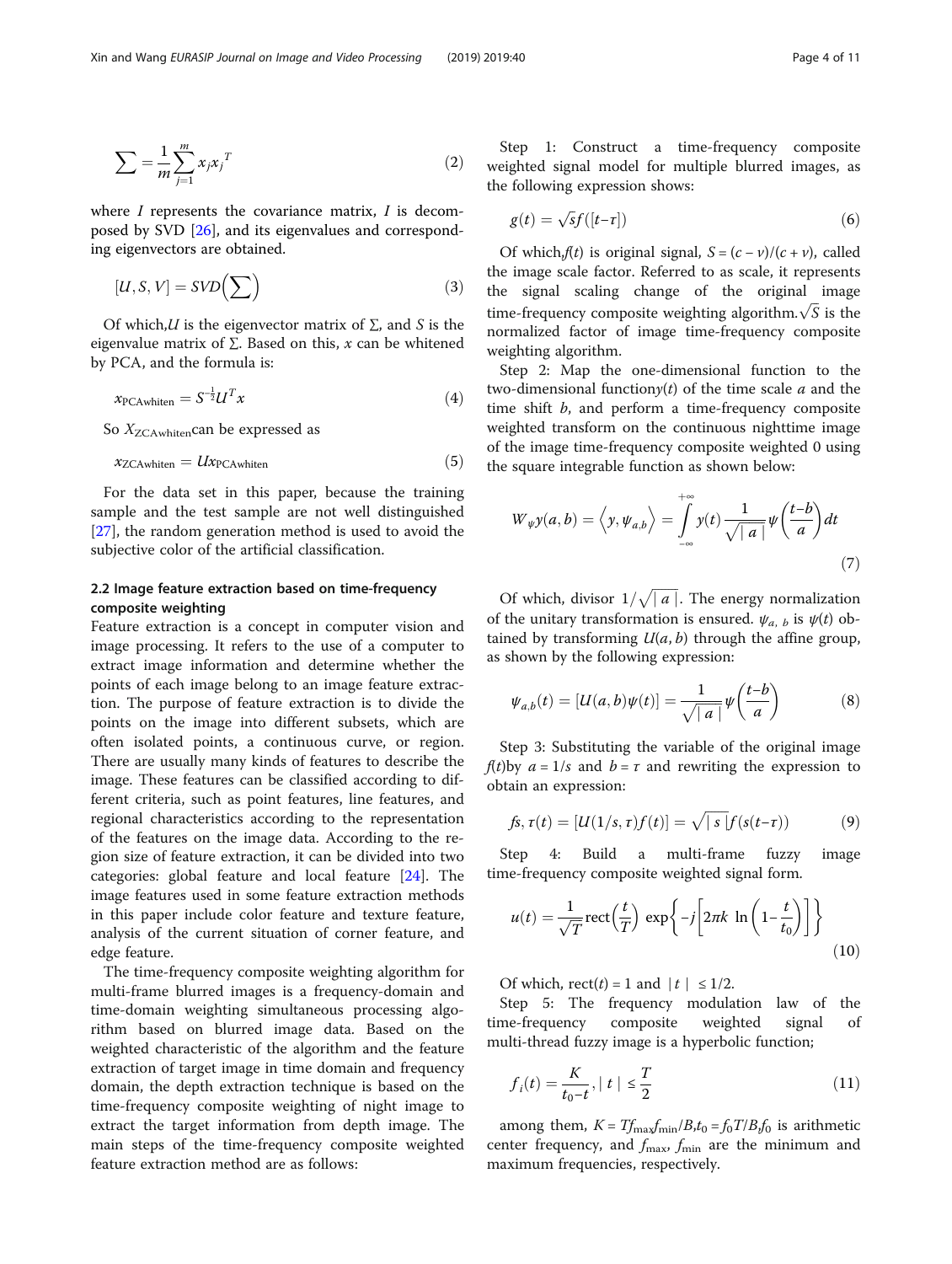$$
\sum = \frac{1}{m} \sum_{j=1}^{m} x_j x_j^T \tag{2}
$$

where  $I$  represents the covariance matrix,  $I$  is decomposed by SVD [\[26](#page-9-0)], and its eigenvalues and corresponding eigenvectors are obtained.

$$
[U, S, V] = SVD\left(\sum\right) \tag{3}
$$

Of which, $U$  is the eigenvector matrix of  $\Sigma$ , and S is the eigenvalue matrix of  $\Sigma$ . Based on this, x can be whitened by PCA, and the formula is:

$$
x_{\text{PCAwhiten}} = S^{-\frac{1}{2}} U^T x \tag{4}
$$

So  $X_{\text{ZCAwhiten}}$ can be expressed as

$$
x_{\text{ZCAwhiten}} = U x_{\text{PCAwhiten}} \tag{5}
$$

For the data set in this paper, because the training sample and the test sample are not well distinguished [[27\]](#page-9-0), the random generation method is used to avoid the subjective color of the artificial classification.

# 2.2 Image feature extraction based on time-frequency composite weighting

Feature extraction is a concept in computer vision and image processing. It refers to the use of a computer to extract image information and determine whether the points of each image belong to an image feature extraction. The purpose of feature extraction is to divide the points on the image into different subsets, which are often isolated points, a continuous curve, or region. There are usually many kinds of features to describe the image. These features can be classified according to different criteria, such as point features, line features, and regional characteristics according to the representation of the features on the image data. According to the region size of feature extraction, it can be divided into two categories: global feature and local feature [\[24](#page-9-0)]. The image features used in some feature extraction methods in this paper include color feature and texture feature, analysis of the current situation of corner feature, and edge feature.

The time-frequency composite weighting algorithm for multi-frame blurred images is a frequency-domain and time-domain weighting simultaneous processing algorithm based on blurred image data. Based on the weighted characteristic of the algorithm and the feature extraction of target image in time domain and frequency domain, the depth extraction technique is based on the time-frequency composite weighting of night image to extract the target information from depth image. The main steps of the time-frequency composite weighted feature extraction method are as follows:

Step 1: Construct a time-frequency composite weighted signal model for multiple blurred images, as the following expression shows:

$$
g(t) = \sqrt{s}f([t-\tau])\tag{6}
$$

Of which, $f(t)$  is original signal,  $S = (c - v)/(c + v)$ , called the image scale factor. Referred to as scale, it represents the signal scaling change of the original image time-frequency composite weighting algorithm. $\sqrt{S}$  is the normalized factor of image time-frequency composite weighting algorithm.

Step 2: Map the one-dimensional function to the two-dimensional functiony(t) of the time scale  $a$  and the time shift  $b$ , and perform a time-frequency composite weighted transform on the continuous nighttime image of the image time-frequency composite weighted 0 using the square integrable function as shown below:

$$
W_{\psi}y(a,b) = \left\langle y, \psi_{a,b} \right\rangle = \int_{-\infty}^{+\infty} y(t) \frac{1}{\sqrt{|a|}} \psi\left(\frac{t-b}{a}\right) dt
$$
\n(7)

Of which, divisor  $1/\sqrt{|a|}$ . The energy normalization<br>is the unitary transformation is ensured  $u(x)$  is  $u(t)$  ob of the unitary transformation is ensured.  $\psi_{a, b}$  is  $\psi(t)$  obtained by transforming  $U(a, b)$  through the affine group, as shown by the following expression:

$$
\psi_{a,b}(t) = [U(a,b)\psi(t)] = \frac{1}{\sqrt{|a|}}\psi\left(\frac{t-b}{a}\right) \tag{8}
$$

Step 3: Substituting the variable of the original image  $f(t)$ by  $a = 1/s$  and  $b = \tau$  and rewriting the expression to obtain an expression:

$$
f_s, \tau(t) = [U(1/s, \tau) f(t)] = \sqrt{|s|} f(s(t-\tau)) \tag{9}
$$

Step 4: Build a multi-frame fuzzy image time-frequency composite weighted signal form.

$$
u(t) = \frac{1}{\sqrt{T}} \operatorname{rect}\left(\frac{t}{T}\right) \exp\left\{-j\left[2\pi k \ln\left(1 - \frac{t}{t_0}\right)\right]\right\}
$$
(10)

Of which, rect(*t*) = 1 and  $|t| \leq 1/2$ .

Step 5: The frequency modulation law of the time-frequency composite weighted signal of multi-thread fuzzy image is a hyperbolic function;

$$
f_i(t) = \frac{K}{t_0 - t}, \mid t \mid \le \frac{T}{2}
$$
 (11)

among them,  $K = Tf_{\text{max}}f_{\text{min}}/B$ , $t_0 = f_0T/B$ , $f_0$  is arithmetic center frequency, and  $f_{\text{max}}$ ,  $f_{\text{min}}$  are the minimum and maximum frequencies, respectively.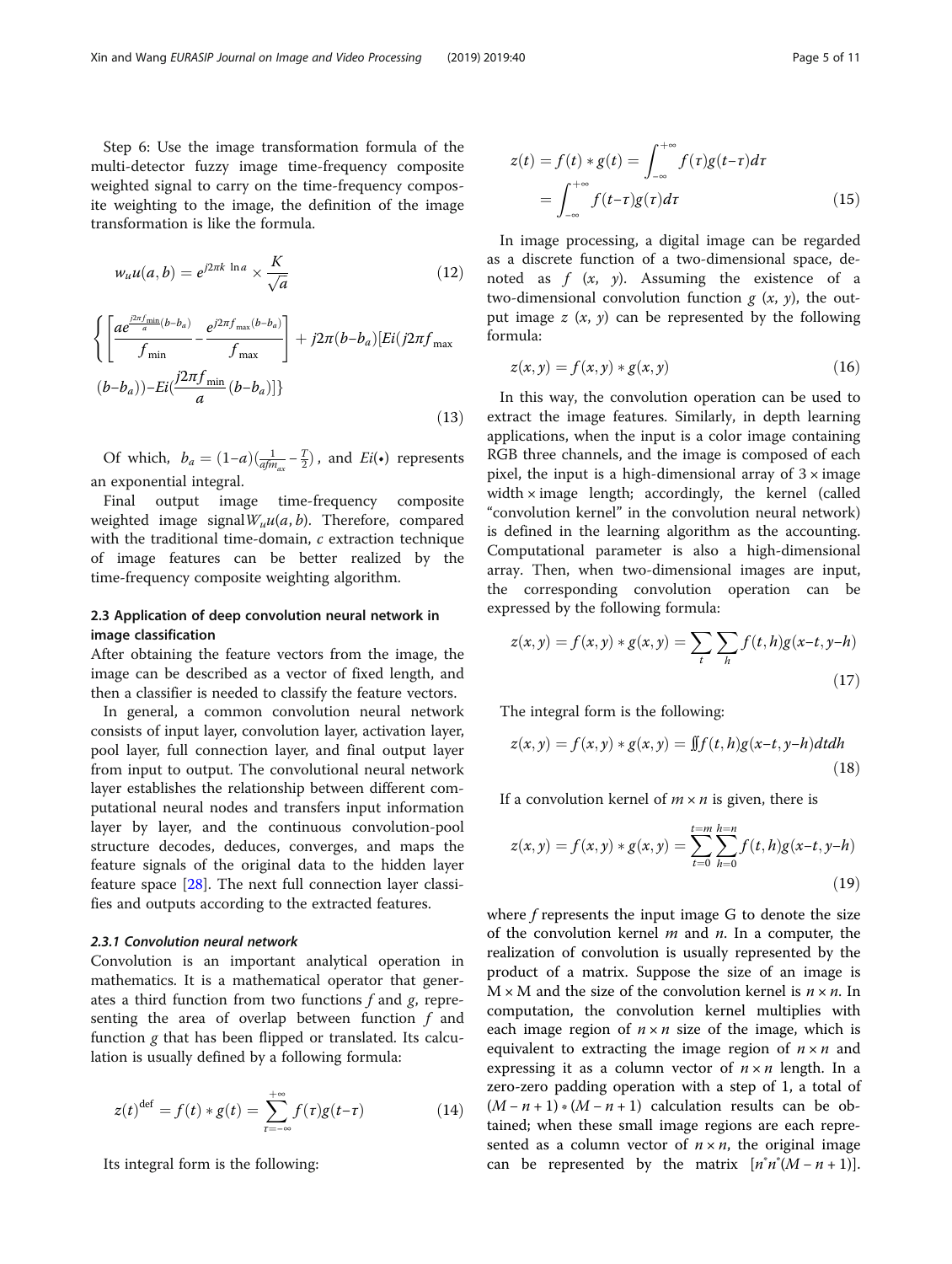Step 6: Use the image transformation formula of the multi-detector fuzzy image time-frequency composite weighted signal to carry on the time-frequency composite weighting to the image, the definition of the image transformation is like the formula.

$$
w_u u(a, b) = e^{j2\pi k \ln a} \times \frac{K}{\sqrt{a}}
$$
 (12)

$$
\left\{ \left[ \frac{ae^{\frac{\beta \pi f_{\min}}{a}(b-b_a)} - e^{j2\pi f_{\max}(b-b_a)}}{f_{\max}} \right] + j2\pi (b-b_a) \left[ Ei(j2\pi f_{\max}) \right] \right\}
$$
\n
$$
(b-b_a)) - Ei(\frac{j2\pi f_{\min}}{a}(b-b_a)) \}
$$
\n(13)

Of which,  $b_a = (1-a)(\frac{1}{a f m_{ax}} - \frac{T}{2})$ , and  $Ei(\bullet)$  represents an exponential integral.

Final output image time-frequency composite weighted image signal  $W_u u(a, b)$ . Therefore, compared with the traditional time-domain, c extraction technique of image features can be better realized by the time-frequency composite weighting algorithm.

# 2.3 Application of deep convolution neural network in image classification

After obtaining the feature vectors from the image, the image can be described as a vector of fixed length, and then a classifier is needed to classify the feature vectors.

In general, a common convolution neural network consists of input layer, convolution layer, activation layer, pool layer, full connection layer, and final output layer from input to output. The convolutional neural network layer establishes the relationship between different computational neural nodes and transfers input information layer by layer, and the continuous convolution-pool structure decodes, deduces, converges, and maps the feature signals of the original data to the hidden layer feature space [\[28](#page-10-0)]. The next full connection layer classifies and outputs according to the extracted features.

# 2.3.1 Convolution neural network

Convolution is an important analytical operation in mathematics. It is a mathematical operator that generates a third function from two functions  $f$  and  $g$ , representing the area of overlap between function  $f$  and function g that has been flipped or translated. Its calculation is usually defined by a following formula:

$$
z(t)^{\text{def}} = f(t) * g(t) = \sum_{\tau = -\infty}^{+\infty} f(\tau)g(t-\tau)
$$
 (14)

Its integral form is the following:

$$
z(t) = f(t) * g(t) = \int_{-\infty}^{+\infty} f(\tau)g(t-\tau)d\tau
$$

$$
= \int_{-\infty}^{+\infty} f(t-\tau)g(\tau)d\tau
$$
(15)

In image processing, a digital image can be regarded as a discrete function of a two-dimensional space, denoted as  $f(x, y)$ . Assuming the existence of a two-dimensional convolution function  $g(x, y)$ , the output image  $z(x, y)$  can be represented by the following formula:

$$
z(x, y) = f(x, y) * g(x, y)
$$
\n<sup>(16)</sup>

In this way, the convolution operation can be used to extract the image features. Similarly, in depth learning applications, when the input is a color image containing RGB three channels, and the image is composed of each pixel, the input is a high-dimensional array of  $3 \times$  image width  $\times$  image length; accordingly, the kernel (called "convolution kernel" in the convolution neural network) is defined in the learning algorithm as the accounting. Computational parameter is also a high-dimensional array. Then, when two-dimensional images are input, the corresponding convolution operation can be expressed by the following formula:

$$
z(x, y) = f(x, y) * g(x, y) = \sum_{t} \sum_{h} f(t, h)g(x - t, y - h)
$$
\n(17)

The integral form is the following:

$$
z(x,y) = f(x,y) * g(x,y) = \iint f(t,h)g(x-t,y-h)dtdh
$$
\n(18)

If a convolution kernel of  $m \times n$  is given, there is

$$
z(x, y) = f(x, y) * g(x, y) = \sum_{t=0}^{t=m} \sum_{h=0}^{h=n} f(t, h)g(x-t, y-h)
$$
\n(19)

where  $f$  represents the input image  $G$  to denote the size of the convolution kernel  $m$  and  $n$ . In a computer, the realization of convolution is usually represented by the product of a matrix. Suppose the size of an image is  $M \times M$  and the size of the convolution kernel is  $n \times n$ . In computation, the convolution kernel multiplies with each image region of  $n \times n$  size of the image, which is equivalent to extracting the image region of  $n \times n$  and expressing it as a column vector of  $n \times n$  length. In a zero-zero padding operation with a step of 1, a total of  $(M - n + 1) * (M - n + 1)$  calculation results can be obtained; when these small image regions are each represented as a column vector of  $n \times n$ , the original image can be represented by the matrix  $[n^*n^*(M - n + 1)].$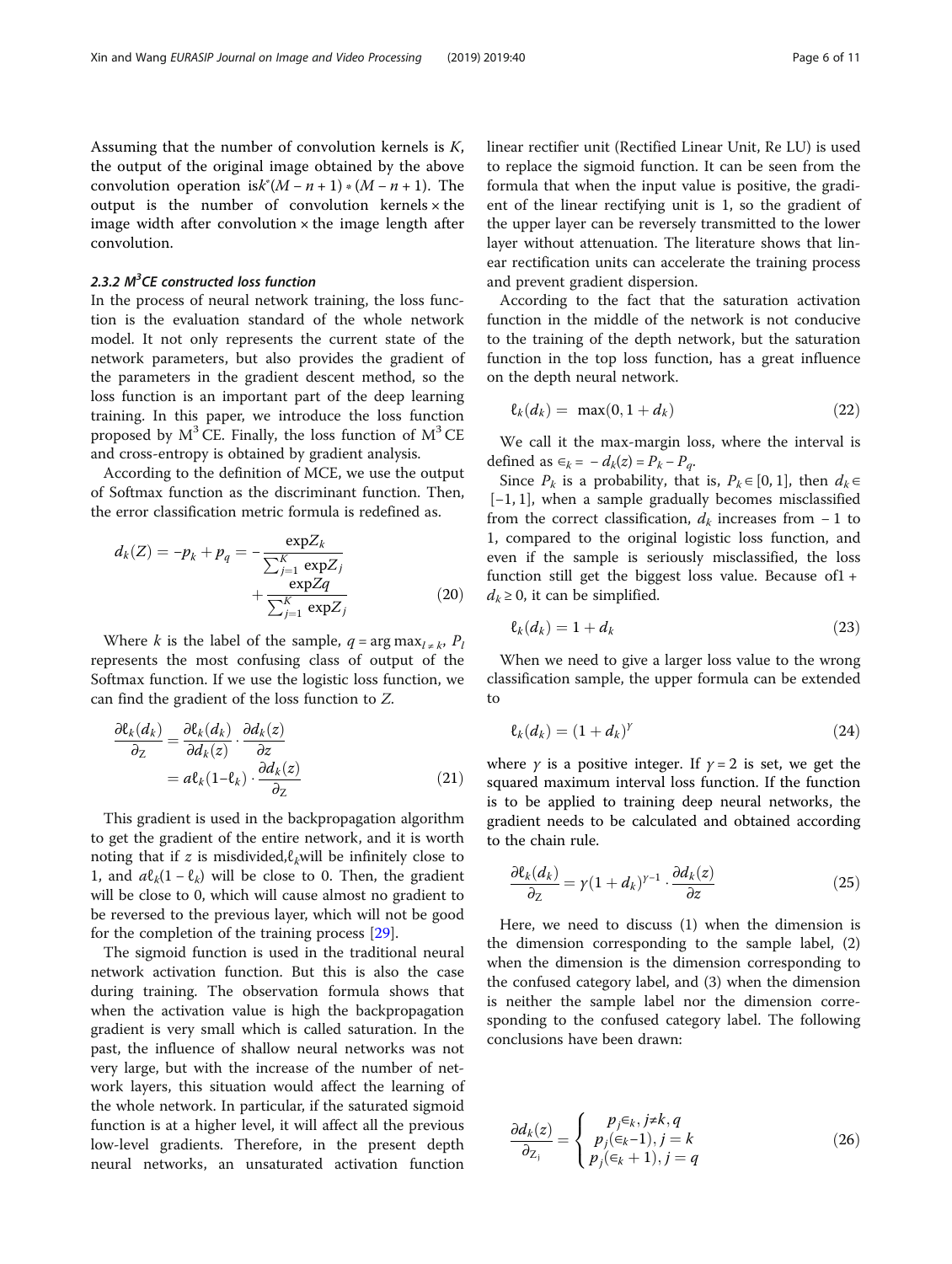Assuming that the number of convolution kernels is  $K$ , the output of the original image obtained by the above convolution operation is $k^*(M - n + 1) * (M - n + 1)$ . The output is the number of convolution kernels  $\times$  the image width after convolution  $\times$  the image length after convolution.

# 2.3.2  $M^3$ CE constructed loss function

In the process of neural network training, the loss function is the evaluation standard of the whole network model. It not only represents the current state of the network parameters, but also provides the gradient of the parameters in the gradient descent method, so the loss function is an important part of the deep learning training. In this paper, we introduce the loss function proposed by  $M^3$  CE. Finally, the loss function of  $M^3$  CE and cross-entropy is obtained by gradient analysis.

According to the definition of MCE, we use the output of Softmax function as the discriminant function. Then, the error classification metric formula is redefined as.

$$
d_k(Z) = -p_k + p_q = -\frac{\exp Z_k}{\sum_{j=1}^K \exp Z_j} + \frac{\exp Z_q}{\sum_{j=1}^K \exp Z_j}
$$
(20)

Where k is the label of the sample,  $q = \arg \max_{l \neq k} P_l$ represents the most confusing class of output of the Softmax function. If we use the logistic loss function, we can find the gradient of the loss function to Z.

$$
\frac{\partial \ell_k(d_k)}{\partial z} = \frac{\partial \ell_k(d_k)}{\partial d_k(z)} \cdot \frac{\partial d_k(z)}{\partial z} \n= a\ell_k(1 - \ell_k) \cdot \frac{\partial d_k(z)}{\partial z}
$$
\n(21)

This gradient is used in the backpropagation algorithm to get the gradient of the entire network, and it is worth noting that if z is misdivided, $\ell_k$ will be infinitely close to 1, and  $a\ell_k(1-\ell_k)$  will be close to 0. Then, the gradient will be close to 0, which will cause almost no gradient to be reversed to the previous layer, which will not be good for the completion of the training process [\[29](#page-10-0)].

The sigmoid function is used in the traditional neural network activation function. But this is also the case during training. The observation formula shows that when the activation value is high the backpropagation gradient is very small which is called saturation. In the past, the influence of shallow neural networks was not very large, but with the increase of the number of network layers, this situation would affect the learning of the whole network. In particular, if the saturated sigmoid function is at a higher level, it will affect all the previous low-level gradients. Therefore, in the present depth neural networks, an unsaturated activation function linear rectifier unit (Rectified Linear Unit, Re LU) is used to replace the sigmoid function. It can be seen from the formula that when the input value is positive, the gradient of the linear rectifying unit is 1, so the gradient of the upper layer can be reversely transmitted to the lower layer without attenuation. The literature shows that linear rectification units can accelerate the training process and prevent gradient dispersion.

According to the fact that the saturation activation function in the middle of the network is not conducive to the training of the depth network, but the saturation function in the top loss function, has a great influence on the depth neural network.

$$
\ell_k(d_k) = \max(0, 1 + d_k) \tag{22}
$$

We call it the max-margin loss, where the interval is defined as  $\epsilon_k = -d_k(z) = P_k - P_q$ .

Since  $P_k$  is a probability, that is,  $P_k \in [0, 1]$ , then  $d_k \in$ [−1, 1], when a sample gradually becomes misclassified from the correct classification,  $d_k$  increases from − 1 to 1, compared to the original logistic loss function, and even if the sample is seriously misclassified, the loss function still get the biggest loss value. Because of $1 +$  $d_k \geq 0$ , it can be simplified.

$$
\ell_k(d_k) = 1 + d_k \tag{23}
$$

When we need to give a larger loss value to the wrong classification sample, the upper formula can be extended to

$$
\ell_k(d_k) = (1 + d_k)^{\gamma} \tag{24}
$$

where  $\gamma$  is a positive integer. If  $\gamma = 2$  is set, we get the squared maximum interval loss function. If the function is to be applied to training deep neural networks, the gradient needs to be calculated and obtained according to the chain rule.

$$
\frac{\partial \ell_k(d_k)}{\partial z} = \gamma (1 + d_k)^{\gamma - 1} \cdot \frac{\partial d_k(z)}{\partial z} \tag{25}
$$

Here, we need to discuss (1) when the dimension is the dimension corresponding to the sample label, (2) when the dimension is the dimension corresponding to the confused category label, and (3) when the dimension is neither the sample label nor the dimension corresponding to the confused category label. The following conclusions have been drawn:

$$
\frac{\partial d_k(z)}{\partial z_j} = \begin{cases} p_j \in k, j \neq k, q \\ p_j(\in k-1), j = k \\ p_j(\in k+1), j = q \end{cases}
$$
 (26)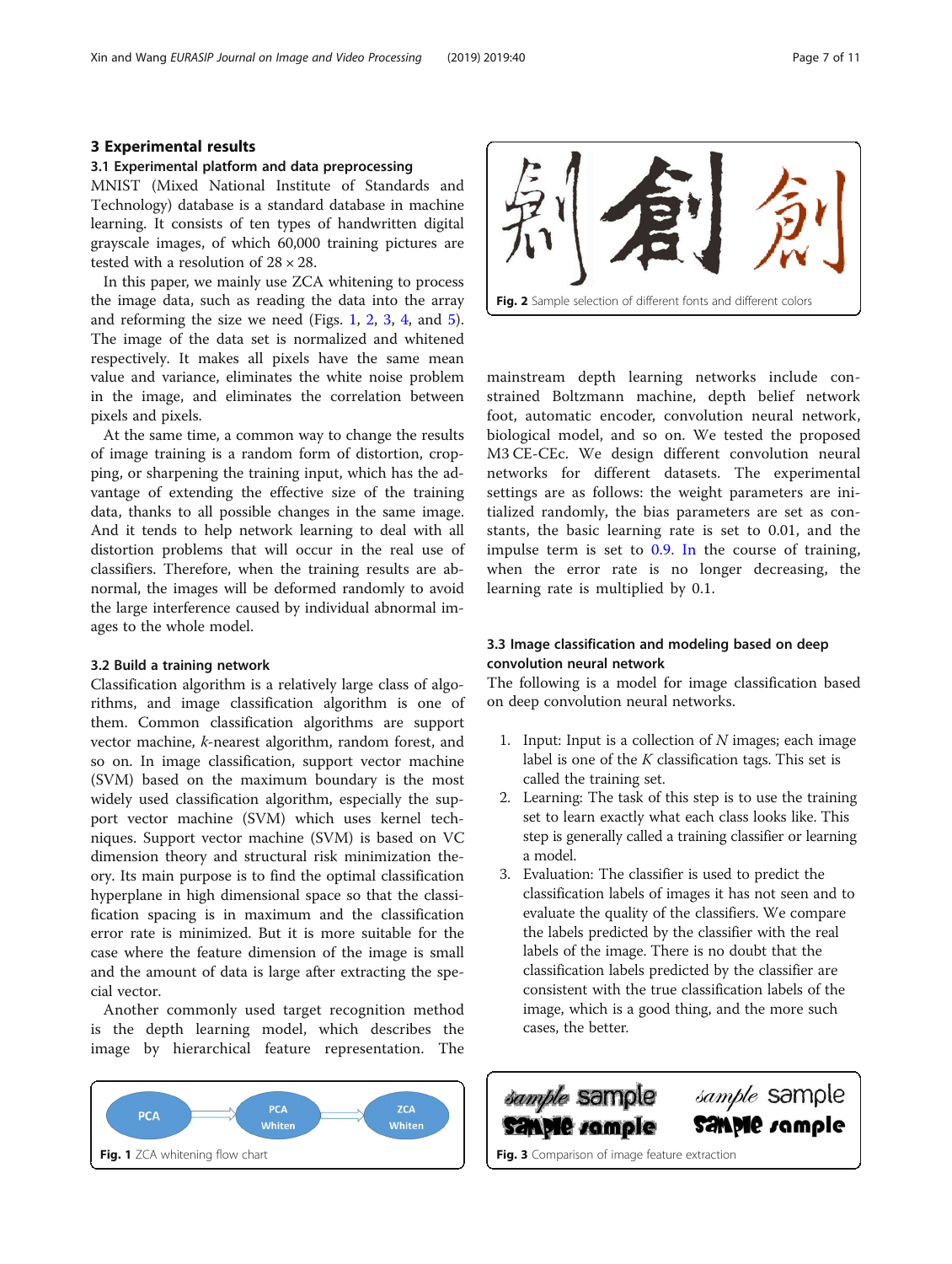# 3 Experimental results

#### 3.1 Experimental platform and data preprocessing

MNIST (Mixed National Institute of Standards and Technology) database is a standard database in machine learning. It consists of ten types of handwritten digital grayscale images, of which 60,000 training pictures are tested with a resolution of 28 × 28.

In this paper, we mainly use ZCA whitening to process the image data, such as reading the data into the array and reforming the size we need (Figs. 1, 2, 3, [4,](#page-7-0) and [5](#page-7-0)). The image of the data set is normalized and whitened respectively. It makes all pixels have the same mean value and variance, eliminates the white noise problem in the image, and eliminates the correlation between pixels and pixels.

At the same time, a common way to change the results of image training is a random form of distortion, cropping, or sharpening the training input, which has the advantage of extending the effective size of the training data, thanks to all possible changes in the same image. And it tends to help network learning to deal with all distortion problems that will occur in the real use of classifiers. Therefore, when the training results are abnormal, the images will be deformed randomly to avoid the large interference caused by individual abnormal images to the whole model.

#### 3.2 Build a training network

Classification algorithm is a relatively large class of algorithms, and image classification algorithm is one of them. Common classification algorithms are support vector machine, k-nearest algorithm, random forest, and so on. In image classification, support vector machine (SVM) based on the maximum boundary is the most widely used classification algorithm, especially the support vector machine (SVM) which uses kernel techniques. Support vector machine (SVM) is based on VC dimension theory and structural risk minimization theory. Its main purpose is to find the optimal classification hyperplane in high dimensional space so that the classification spacing is in maximum and the classification error rate is minimized. But it is more suitable for the case where the feature dimension of the image is small and the amount of data is large after extracting the special vector.

Another commonly used target recognition method is the depth learning model, which describes the image by hierarchical feature representation. The





mainstream depth learning networks include constrained Boltzmann machine, depth belief network foot, automatic encoder, convolution neural network, biological model, and so on. We tested the proposed M3 CE-CEc. We design different convolution neural networks for different datasets. The experimental settings are as follows: the weight parameters are initialized randomly, the bias parameters are set as constants, the basic learning rate is set to 0.01, and the impulse term is set to [0.9. In](http://0.9.in) the course of training, when the error rate is no longer decreasing, the learning rate is multiplied by 0.1.

# 3.3 Image classification and modeling based on deep convolution neural network

The following is a model for image classification based on deep convolution neural networks.

- 1. Input: Input is a collection of  $N$  images; each image label is one of the  $K$  classification tags. This set is called the training set.
- 2. Learning: The task of this step is to use the training set to learn exactly what each class looks like. This step is generally called a training classifier or learning a model.
- 3. Evaluation: The classifier is used to predict the classification labels of images it has not seen and to evaluate the quality of the classifiers. We compare the labels predicted by the classifier with the real labels of the image. There is no doubt that the classification labels predicted by the classifier are consistent with the true classification labels of the image, which is a good thing, and the more such cases, the better.

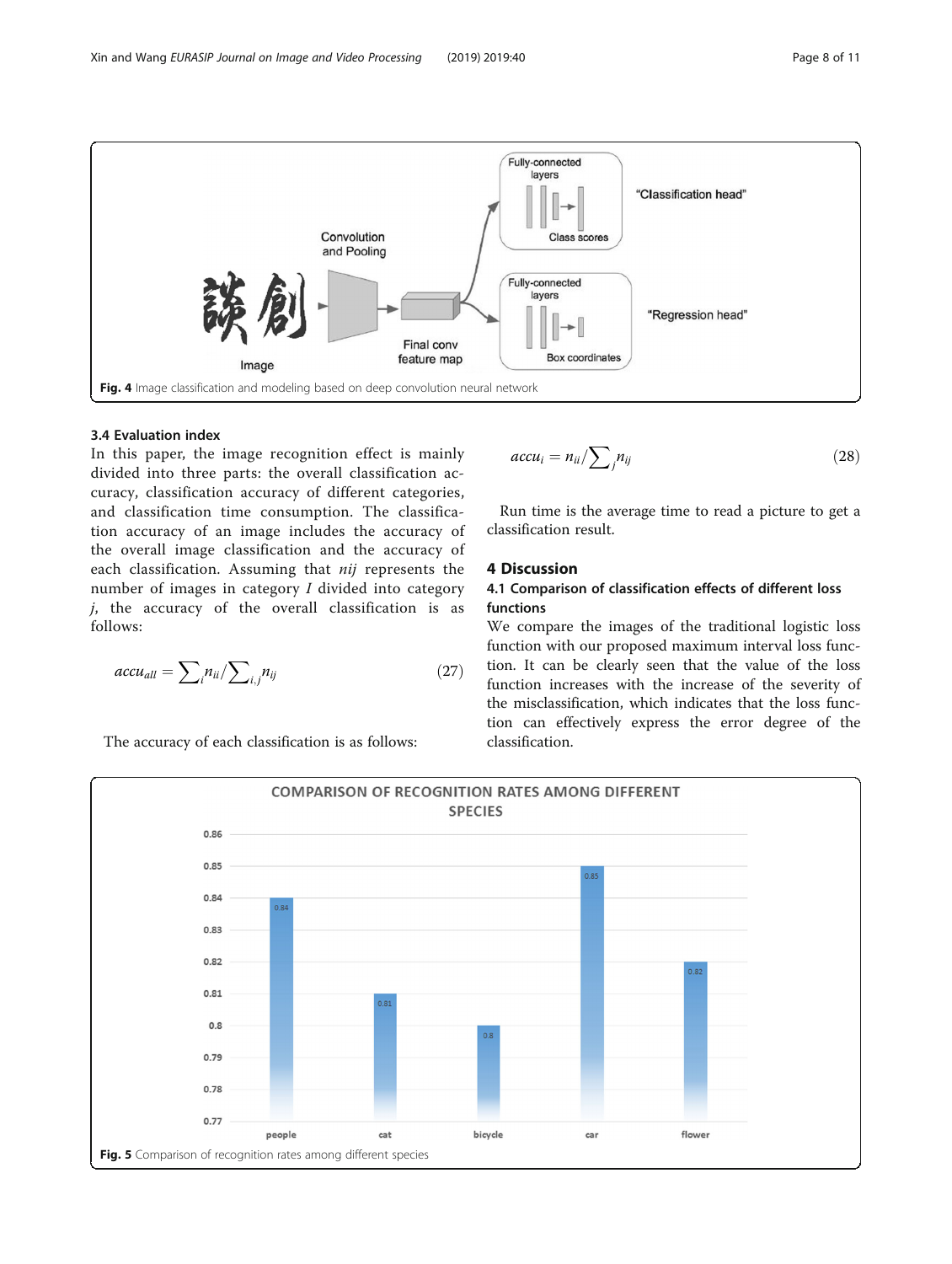<span id="page-7-0"></span>

# 3.4 Evaluation index

In this paper, the image recognition effect is mainly divided into three parts: the overall classification accuracy, classification accuracy of different categories, and classification time consumption. The classification accuracy of an image includes the accuracy of the overall image classification and the accuracy of each classification. Assuming that nij represents the number of images in category I divided into category  $j$ , the accuracy of the overall classification is as follows:

$$
accu_{all} = \sum_{i} n_{ii} / \sum_{i,j} n_{ij}
$$
 (27)

$$
accu_i = n_{ii}/\sum_j n_{ij} \tag{28}
$$

Run time is the average time to read a picture to get a classification result.

# 4 Discussion

# 4.1 Comparison of classification effects of different loss functions

We compare the images of the traditional logistic loss function with our proposed maximum interval loss function. It can be clearly seen that the value of the loss function increases with the increase of the severity of the misclassification, which indicates that the loss function can effectively express the error degree of the classification.



The accuracy of each classification is as follows: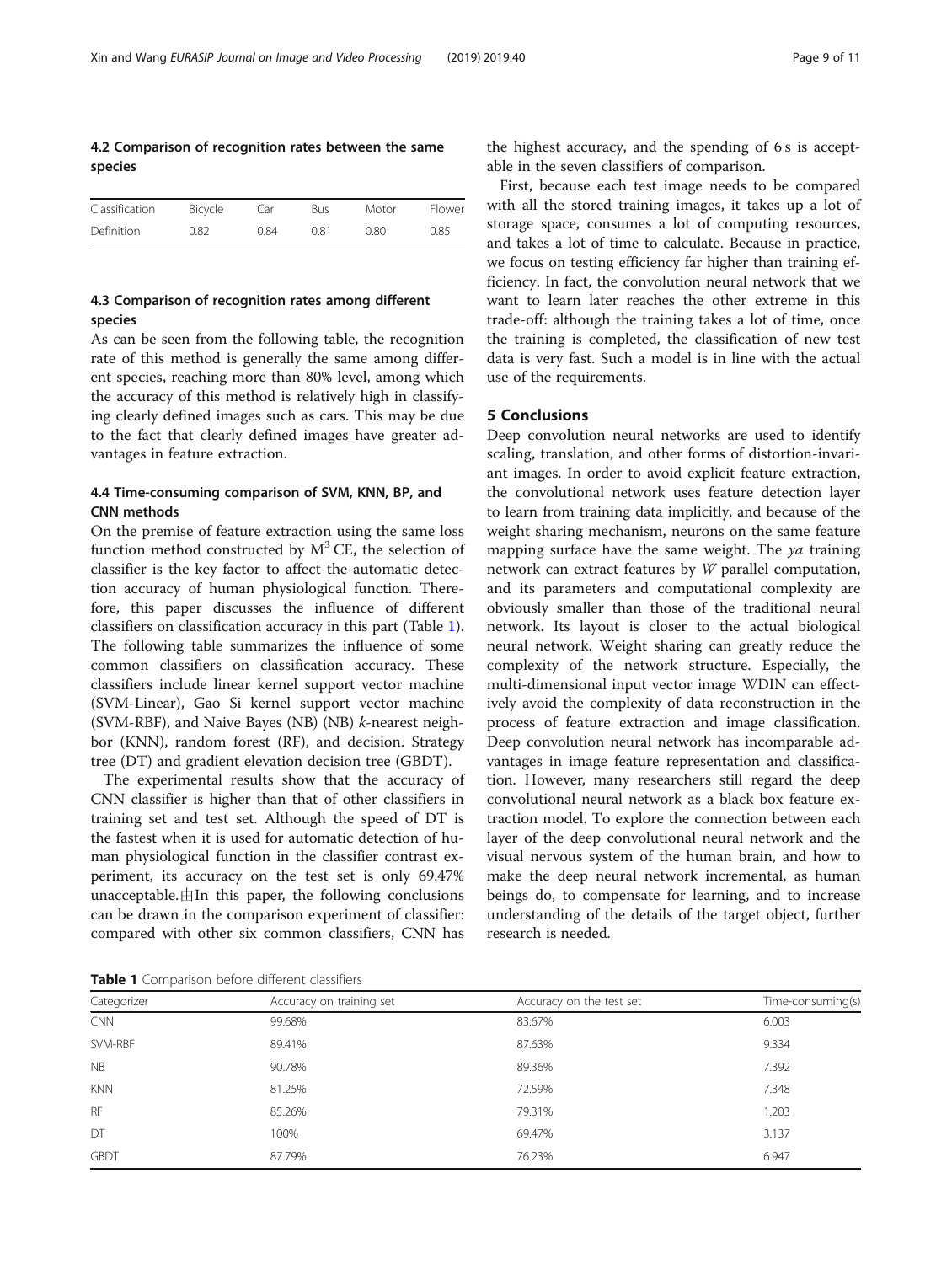# 4.2 Comparison of recognition rates between the same species

| Classification | Bicycle | Car  | <b>Bus</b> | Motor | Flower |
|----------------|---------|------|------------|-------|--------|
| Definition     | 0.82    | 0.84 | 0.81       | 0.80  | 0.85   |

# 4.3 Comparison of recognition rates among different species

As can be seen from the following table, the recognition rate of this method is generally the same among different species, reaching more than 80% level, among which the accuracy of this method is relatively high in classifying clearly defined images such as cars. This may be due to the fact that clearly defined images have greater advantages in feature extraction.

# 4.4 Time-consuming comparison of SVM, KNN, BP, and CNN methods

On the premise of feature extraction using the same loss function method constructed by  $M<sup>3</sup>$  CE, the selection of classifier is the key factor to affect the automatic detection accuracy of human physiological function. Therefore, this paper discusses the influence of different classifiers on classification accuracy in this part (Table 1). The following table summarizes the influence of some common classifiers on classification accuracy. These classifiers include linear kernel support vector machine (SVM-Linear), Gao Si kernel support vector machine (SVM-RBF), and Naive Bayes (NB) (NB) k-nearest neighbor (KNN), random forest (RF), and decision. Strategy tree (DT) and gradient elevation decision tree (GBDT).

The experimental results show that the accuracy of CNN classifier is higher than that of other classifiers in training set and test set. Although the speed of DT is the fastest when it is used for automatic detection of human physiological function in the classifier contrast experiment, its accuracy on the test set is only 69.47% unacceptable. $\#$ In this paper, the following conclusions can be drawn in the comparison experiment of classifier: compared with other six common classifiers, CNN has the highest accuracy, and the spending of 6 s is acceptable in the seven classifiers of comparison.

First, because each test image needs to be compared with all the stored training images, it takes up a lot of storage space, consumes a lot of computing resources, and takes a lot of time to calculate. Because in practice, we focus on testing efficiency far higher than training efficiency. In fact, the convolution neural network that we want to learn later reaches the other extreme in this trade-off: although the training takes a lot of time, once the training is completed, the classification of new test data is very fast. Such a model is in line with the actual use of the requirements.

# 5 Conclusions

Deep convolution neural networks are used to identify scaling, translation, and other forms of distortion-invariant images. In order to avoid explicit feature extraction, the convolutional network uses feature detection layer to learn from training data implicitly, and because of the weight sharing mechanism, neurons on the same feature mapping surface have the same weight. The  $ya$  training network can extract features by W parallel computation, and its parameters and computational complexity are obviously smaller than those of the traditional neural network. Its layout is closer to the actual biological neural network. Weight sharing can greatly reduce the complexity of the network structure. Especially, the multi-dimensional input vector image WDIN can effectively avoid the complexity of data reconstruction in the process of feature extraction and image classification. Deep convolution neural network has incomparable advantages in image feature representation and classification. However, many researchers still regard the deep convolutional neural network as a black box feature extraction model. To explore the connection between each layer of the deep convolutional neural network and the visual nervous system of the human brain, and how to make the deep neural network incremental, as human beings do, to compensate for learning, and to increase understanding of the details of the target object, further research is needed.

Table 1 Comparison before different classifiers

| Categorizer | Accuracy on training set | Accuracy on the test set | Time-consuming(s) |
|-------------|--------------------------|--------------------------|-------------------|
| <b>CNN</b>  | 99.68%                   | 83.67%                   | 6.003             |
| SVM-RBF     | 89.41%                   | 87.63%                   | 9.334             |
| <b>NB</b>   | 90.78%                   | 89.36%                   | 7.392             |
| <b>KNN</b>  | 81.25%                   | 72.59%                   | 7.348             |
| <b>RF</b>   | 85.26%                   | 79.31%                   | 1.203             |
| DT          | 100%                     | 69.47%                   | 3.137             |
| <b>GBDT</b> | 87.79%                   | 76.23%                   | 6.947             |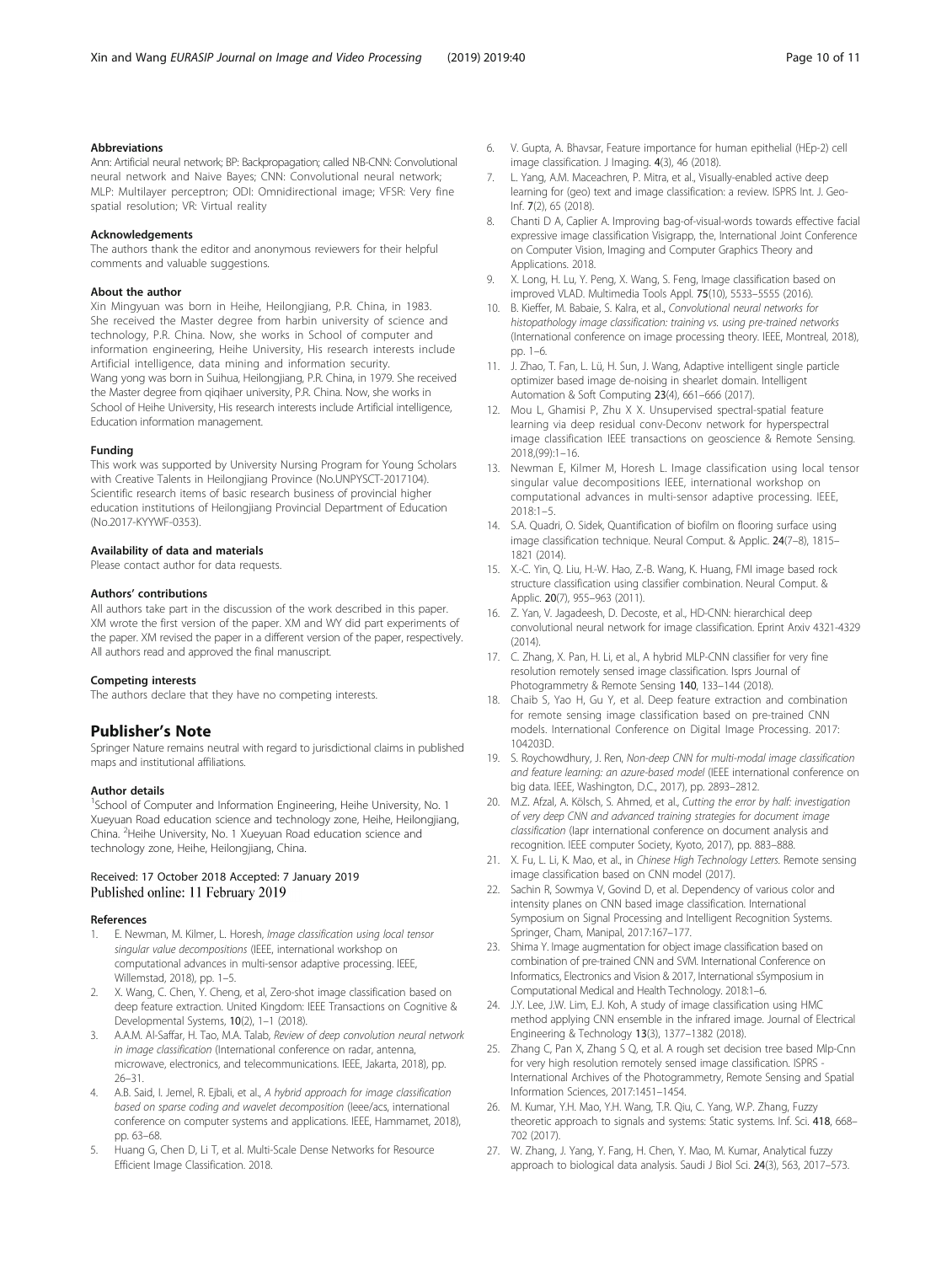# <span id="page-9-0"></span>Abbreviations

Ann: Artificial neural network; BP: Backpropagation; called NB-CNN: Convolutional neural network and Naive Bayes; CNN: Convolutional neural network; MLP: Multilayer perceptron; ODI: Omnidirectional image; VFSR: Very fine spatial resolution; VR: Virtual reality

#### Acknowledgements

The authors thank the editor and anonymous reviewers for their helpful comments and valuable suggestions.

#### About the author

Xin Mingyuan was born in Heihe, Heilongjiang, P.R. China, in 1983. She received the Master degree from harbin university of science and technology, P.R. China. Now, she works in School of computer and information engineering, Heihe University, His research interests include Artificial intelligence, data mining and information security. Wang yong was born in Suihua, Heilongjiang, P.R. China, in 1979. She received the Master degree from qiqihaer university, P.R. China. Now, she works in School of Heihe University, His research interests include Artificial intelligence, Education information management.

#### Funding

This work was supported by University Nursing Program for Young Scholars with Creative Talents in Heilongjiang Province (No.UNPYSCT-2017104). Scientific research items of basic research business of provincial higher education institutions of Heilongjiang Provincial Department of Education (No.2017-KYYWF-0353).

#### Availability of data and materials

Please contact author for data requests.

#### Authors' contributions

All authors take part in the discussion of the work described in this paper. XM wrote the first version of the paper. XM and WY did part experiments of the paper. XM revised the paper in a different version of the paper, respectively. All authors read and approved the final manuscript.

#### Competing interests

The authors declare that they have no competing interests.

#### Publisher's Note

Springer Nature remains neutral with regard to jurisdictional claims in published maps and institutional affiliations.

#### Author details

<sup>1</sup>School of Computer and Information Engineering, Heihe University, No. 1 Xueyuan Road education science and technology zone, Heihe, Heilongjiang, China. <sup>2</sup> Heihe University, No. 1 Xueyuan Road education science and technology zone, Heihe, Heilongjiang, China.

# Received: 17 October 2018 Accepted: 7 January 2019 Published online: 11 February 2019

#### References

- E. Newman, M. Kilmer, L. Horesh, Image classification using local tensor singular value decompositions (IEEE, international workshop on computational advances in multi-sensor adaptive processing. IEEE, Willemstad, 2018), pp. 1–5.
- 2. X. Wang, C. Chen, Y. Cheng, et al, Zero-shot image classification based on deep feature extraction. United Kingdom: IEEE Transactions on Cognitive & Developmental Systems, 10(2), 1–1 (2018).
- A.A.M. Al-Saffar, H. Tao, M.A. Talab, Review of deep convolution neural network in image classification (International conference on radar, antenna, microwave, electronics, and telecommunications. IEEE, Jakarta, 2018), pp. 26–31.
- 4. A.B. Said, I. Jemel, R. Ejbali, et al., A hybrid approach for image classification based on sparse coding and wavelet decomposition (Ieee/acs, international conference on computer systems and applications. IEEE, Hammamet, 2018), pp. 63–68.
- 5. Huang G, Chen D, Li T, et al. Multi-Scale Dense Networks for Resource Efficient Image Classification. 2018.
- 6. V. Gupta, A. Bhavsar, Feature importance for human epithelial (HEp-2) cell image classification. J Imaging. 4(3), 46 (2018).
- 7. L. Yang, A.M. Maceachren, P. Mitra, et al., Visually-enabled active deep learning for (geo) text and image classification: a review. ISPRS Int. J. Geo-Inf. 7(2), 65 (2018).
- 8. Chanti D A, Caplier A. Improving bag-of-visual-words towards effective facial expressive image classification Visigrapp, the, International Joint Conference on Computer Vision, Imaging and Computer Graphics Theory and Applications. 2018.
- 9. X. Long, H. Lu, Y. Peng, X. Wang, S. Feng, Image classification based on improved VLAD. Multimedia Tools Appl. 75(10), 5533–5555 (2016).
- 10. B. Kieffer, M. Babaie, S. Kalra, et al., Convolutional neural networks for histopathology image classification: training vs. using pre-trained networks (International conference on image processing theory. IEEE, Montreal, 2018), pp. 1–6.
- 11. J. Zhao, T. Fan, L. Lü, H. Sun, J. Wang, Adaptive intelligent single particle optimizer based image de-noising in shearlet domain. Intelligent Automation & Soft Computing 23(4), 661–666 (2017).
- 12. Mou L, Ghamisi P, Zhu X X. Unsupervised spectral-spatial feature learning via deep residual conv-Deconv network for hyperspectral image classification IEEE transactions on geoscience & Remote Sensing. 2018,(99):1–16.
- 13. Newman E, Kilmer M, Horesh L. Image classification using local tensor singular value decompositions IEEE, international workshop on computational advances in multi-sensor adaptive processing. IEEE, 2018:1–5.
- 14. S.A. Quadri, O. Sidek, Quantification of biofilm on flooring surface using image classification technique. Neural Comput. & Applic. 24(7–8), 1815– 1821 (2014).
- 15. X.-C. Yin, Q. Liu, H.-W. Hao, Z.-B. Wang, K. Huang, FMI image based rock structure classification using classifier combination. Neural Comput. & Applic. 20(7), 955-963 (2011).
- 16. Z. Yan, V. Jagadeesh, D. Decoste, et al., HD-CNN: hierarchical deep convolutional neural network for image classification. Eprint Arxiv 4321-4329  $(2014)$
- 17. C. Zhang, X. Pan, H. Li, et al., A hybrid MLP-CNN classifier for very fine resolution remotely sensed image classification. Isprs Journal of Photogrammetry & Remote Sensing 140, 133–144 (2018).
- 18. Chaib S, Yao H, Gu Y, et al. Deep feature extraction and combination for remote sensing image classification based on pre-trained CNN models. International Conference on Digital Image Processing. 2017: 104203D.
- 19. S. Roychowdhury, J. Ren, Non-deep CNN for multi-modal image classification and feature learning: an azure-based model (IEEE international conference on big data. IEEE, Washington, D.C., 2017), pp. 2893–2812.
- 20. M.Z. Afzal, A. Kölsch, S. Ahmed, et al., Cutting the error by half: investigation of very deep CNN and advanced training strategies for document image classification (Iapr international conference on document analysis and recognition. IEEE computer Society, Kyoto, 2017), pp. 883–888.
- 21. X. Fu, L. Li, K. Mao, et al., in Chinese High Technology Letters. Remote sensing image classification based on CNN model (2017).
- 22. Sachin R, Sowmya V, Govind D, et al. Dependency of various color and intensity planes on CNN based image classification. International Symposium on Signal Processing and Intelligent Recognition Systems. Springer, Cham, Manipal, 2017:167–177.
- 23. Shima Y. Image augmentation for object image classification based on combination of pre-trained CNN and SVM. International Conference on Informatics, Electronics and Vision & 2017, International sSymposium in Computational Medical and Health Technology. 2018:1–6.
- 24. J.Y. Lee, J.W. Lim, E.J. Koh, A study of image classification using HMC method applying CNN ensemble in the infrared image. Journal of Electrical Engineering & Technology 13(3), 1377–1382 (2018).
- 25. Zhang C, Pan X, Zhang S Q, et al. A rough set decision tree based Mlp-Cnn for very high resolution remotely sensed image classification. ISPRS International Archives of the Photogrammetry, Remote Sensing and Spatial Information Sciences, 2017:1451–1454.
- 26. M. Kumar, Y.H. Mao, Y.H. Wang, T.R. Qiu, C. Yang, W.P. Zhang, Fuzzy theoretic approach to signals and systems: Static systems. Inf. Sci. 418, 668– 702 (2017).
- 27. W. Zhang, J. Yang, Y. Fang, H. Chen, Y. Mao, M. Kumar, Analytical fuzzy approach to biological data analysis. Saudi J Biol Sci. 24(3), 563, 2017–573.